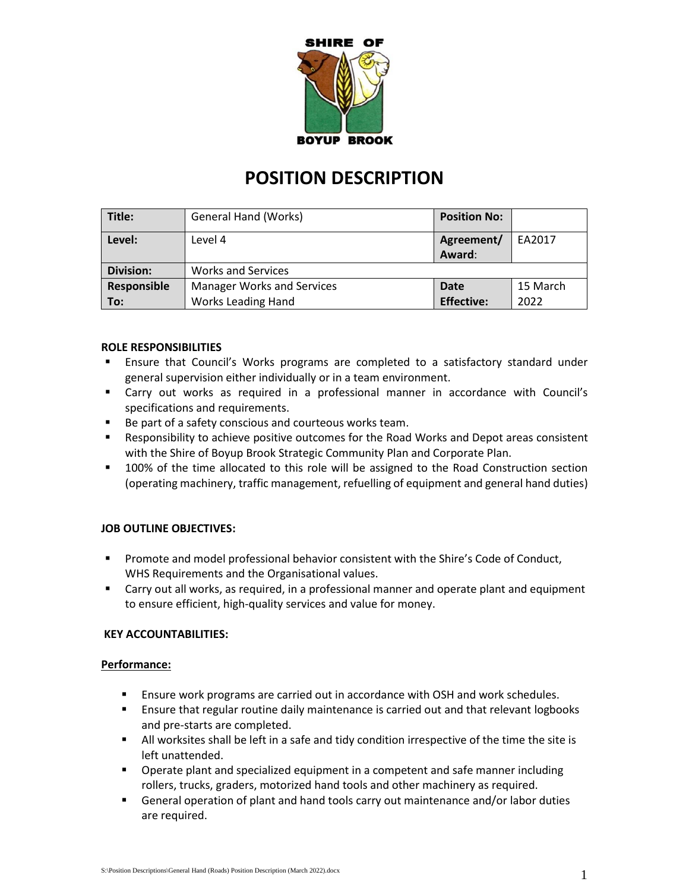

# **POSITION DESCRIPTION**

| Title:           | General Hand (Works)              | <b>Position No:</b>  |          |
|------------------|-----------------------------------|----------------------|----------|
| Level:           | Level 4                           | Agreement/<br>Award: | EA2017   |
| <b>Division:</b> | <b>Works and Services</b>         |                      |          |
| Responsible      | <b>Manager Works and Services</b> | Date                 | 15 March |
| $\mid$ To:       | <b>Works Leading Hand</b>         | <b>Effective:</b>    | 2022     |

# **ROLE RESPONSIBILITIES**

- **E** Ensure that Council's Works programs are completed to a satisfactory standard under general supervision either individually or in a team environment.
- Carry out works as required in a professional manner in accordance with Council's specifications and requirements.
- Be part of a safety conscious and courteous works team.
- Responsibility to achieve positive outcomes for the Road Works and Depot areas consistent with the Shire of Boyup Brook Strategic Community Plan and Corporate Plan.
- 100% of the time allocated to this role will be assigned to the Road Construction section (operating machinery, traffic management, refuelling of equipment and general hand duties)

# **JOB OUTLINE OBJECTIVES:**

- **•** Promote and model professional behavior consistent with the Shire's Code of Conduct, WHS Requirements and the Organisational values.
- Carry out all works, as required, in a professional manner and operate plant and equipment to ensure efficient, high-quality services and value for money.

# **KEY ACCOUNTABILITIES:**

#### **Performance:**

- **E** Ensure work programs are carried out in accordance with OSH and work schedules.
- **E** Ensure that regular routine daily maintenance is carried out and that relevant logbooks and pre-starts are completed.
- **EXECT All worksites shall be left in a safe and tidy condition irrespective of the time the site is** left unattended.
- Operate plant and specialized equipment in a competent and safe manner including rollers, trucks, graders, motorized hand tools and other machinery as required.
- **EXEC** General operation of plant and hand tools carry out maintenance and/or labor duties are required.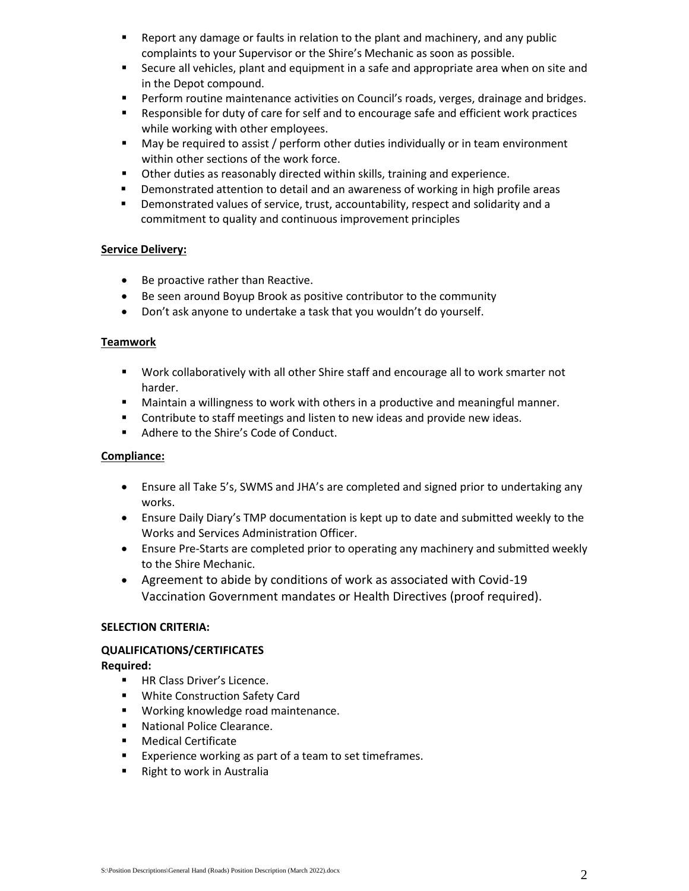- Report any damage or faults in relation to the plant and machinery, and any public complaints to your Supervisor or the Shire's Mechanic as soon as possible.
- Secure all vehicles, plant and equipment in a safe and appropriate area when on site and in the Depot compound.
- **•** Perform routine maintenance activities on Council's roads, verges, drainage and bridges.
- Responsible for duty of care for self and to encourage safe and efficient work practices while working with other employees.
- May be required to assist / perform other duties individually or in team environment within other sections of the work force.
- Other duties as reasonably directed within skills, training and experience.
- Demonstrated attention to detail and an awareness of working in high profile areas
- Demonstrated values of service, trust, accountability, respect and solidarity and a commitment to quality and continuous improvement principles

# **Service Delivery:**

- Be proactive rather than Reactive.
- Be seen around Boyup Brook as positive contributor to the community
- Don't ask anyone to undertake a task that you wouldn't do yourself.

#### **Teamwork**

- Work collaboratively with all other Shire staff and encourage all to work smarter not harder.
- Maintain a willingness to work with others in a productive and meaningful manner.
- Contribute to staff meetings and listen to new ideas and provide new ideas.
- Adhere to the Shire's Code of Conduct.

# **Compliance:**

- Ensure all Take 5's, SWMS and JHA's are completed and signed prior to undertaking any works.
- Ensure Daily Diary's TMP documentation is kept up to date and submitted weekly to the Works and Services Administration Officer.
- Ensure Pre-Starts are completed prior to operating any machinery and submitted weekly to the Shire Mechanic.
- Agreement to abide by conditions of work as associated with Covid-19 Vaccination Government mandates or Health Directives (proof required).

# **SELECTION CRITERIA:**

# **QUALIFICATIONS/CERTIFICATES**

# **Required:**

- HR Class Driver's Licence.
- White Construction Safety Card
- Working knowledge road maintenance.
- National Police Clearance.
- Medical Certificate
- Experience working as part of a team to set timeframes.
- Right to work in Australia